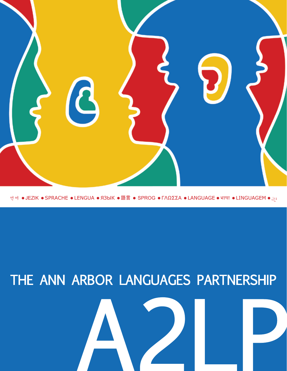

연어 ● JEZIK ● SPRACHE ● LENGUA ● ЯЗЫК ● 語言 ● SPROG ● ΓΛΩΣΣΑ ● LANGUAGE ● भाषा ● LINGUAGEM ● اقغا

# THE ANN ARBOR LANGUAGES PARTNERSHIP

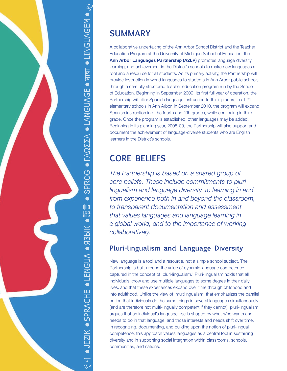

# **SUMMARY**

A collaborative undertaking of the Ann Arbor School District and the Teacher Education Program at the University of Michigan School of Education, the **Ann Arbor Languages Partnership (A2LP)** promotes language diversity, learning, and achievement in the District's schools to make new languages a tool and a resource for all students. As its primary activity, the Partnership will provide instruction in world languages to students in Ann Arbor public schools through a carefully structured teacher education program run by the School of Education. Beginning in September 2009, its first full year of operation, the Partnership will offer Spanish language instruction to third-graders in all 21 elementary schools in Ann Arbor. In September 2010, the program will expand Spanish instruction into the fourth and fifth grades, while continuing in third grade. Once the program is established, other languages may be added. Beginning in its planning year, 2008-09, the Partnership will also support and document the achievement of language-diverse students who are English learners in the District's schools.

## **CORE BELIEFS**

*The Partnership is based on a shared group of core beliefs. These include commitments to plurilingualism and language diversity, to learning in and from experience both in and beyond the classroom, to transparent documentation and assessment that values languages and language learning in a global world, and to the importance of working collaboratively.*

## **Pluri-lingualism and Language Diversity**

New language is a tool and a resource, not a simple school subject. The Partnership is built around the value of dynamic language competence, captured in the concept of 'pluri-lingualism.' Pluri-lingualism holds that all individuals know and use multiple languages to some degree in their daily lives, and that these experiences expand over time through childhood and into adulthood. Unlike the view of 'multilingualism' that emphasizes the parallel notion that individuals do the same things in several languages simultaneously (and are therefore not multi-lingually competent if they cannot), pluri-lingualism argues that an individual's language use is shaped by what s/he wants and needs to do in that language, and those interests and needs shift over time. In recognizing, documenting, and building upon the notion of pluri-lingual competence, this approach values languages as a central tool in sustaining diversity and in supporting social integration within classrooms, schools, communities, and nations.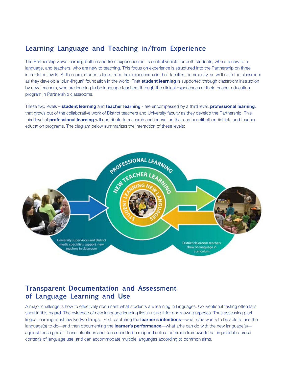### **Learning Language and Teaching in/from Experience**

The Partnership views learning both in and from experience as its central vehicle for both students, who are new to a language, and teachers, who are new to teaching. This focus on experience is structured into the Partnership on three interrelated levels. At the core, students learn from their experiences in their families, community, as well as in the classroom as they develop a 'pluri-lingual' foundation in the world. That **student learning** is supported through classroom instruction by new teachers, who are learning to be language teachers through the clinical experiences of their teacher education program in Partnership classrooms.

These two levels – **student learning** and **teacher learning** - are encompassed by a third level, **professional learning**, that grows out of the collaborative work of District teachers and University faculty as they develop the Partnership. This third level of **professional learning** will contribute to research and innovation that can benefit other districts and teacher education programs. The diagram below summarizes the interaction of these levels:



#### **Transparent Documentation and Assessment of Language Learning and Use**

A major challenge is how to effectively document what students are learning in languages. Conventional testing often falls short in this regard. The evidence of new language learning lies in using it for one's own purposes. Thus assessing plurilingual learning must involve two things. First, capturing the **learner's intentions**—what s/he wants to be able to use the language(s) to do—and then documenting the **learner's performance**—what s/he can do with the new language(s) against those goals. These intentions and uses need to be mapped onto a common framework that is portable across contexts of language use, and can accommodate multiple languages according to common aims.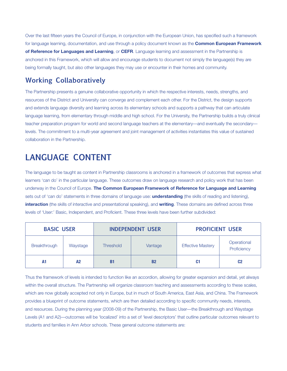Over the last fifteen years the Council of Europe, in conjunction with the European Union, has specified such a framework for language learning, documentation, and use through a policy document known as the **Common European Framework of Reference for Languages and Learning**, or **CEFR**. Language learning and assessment in the Partnership is anchored in this Framework, which will allow and encourage students to document not simply the language(s) they are being formally taught, but also other languages they may use or encounter in their homes and community.

## **Working Collaboratively**

The Partnership presents a genuine collaborative opportunity in which the respective interests, needs, strengths, and resources of the District and University can converge and complement each other. For the District, the design supports and extends language diversity and learning across its elementary schools and supports a pathway that can articulate language learning, from elementary through middle and high school. For the University, the Partnership builds a truly clinical teacher preparation program for world and second language teachers at the elementary—and eventually the secondary levels. The commitment to a multi-year agreement and joint management of activities instantiates this value of sustained collaboration in the Partnership.

# **LANGUAGE CONTENT**

The language to be taught as content in Partnership classrooms is anchored in a framework of outcomes that express what learners 'can do' in the particular language. These outcomes draw on language research and policy work that has been underway in the Council of Europe. **The Common European Framework of Reference for Language and Learning** sets out of 'can do' statements in three domains of language use: **understanding** (the skills of reading and listening), **interaction** (the skills of interactive and presentational speaking), and **writing**. These domains are defined across three levels of 'User:' Basic, Independent, and Proficient. These three levels have been further subdivided:

| <b>BASIC USER</b> |                | <b>INDEPENDENT USER</b> |           | <b>PROFICIENT USER</b>   |                            |
|-------------------|----------------|-------------------------|-----------|--------------------------|----------------------------|
| Breakthrough      | Waystage       | <b>Threshold</b>        | Vantage   | <b>Effective Mastery</b> | Operational<br>Proficiency |
| A1                | A <sub>2</sub> | <b>B1</b>               | <b>B2</b> | C1                       | C <sub>2</sub>             |

Thus the framework of levels is intended to function like an accordion, allowing for greater expansion and detail, yet always within the overall structure. The Partnership will organize classroom teaching and assessments according to these scales, which are now globally accepted not only in Europe, but in much of South America, East Asia, and China. The Framework provides a blueprint of outcome statements, which are then detailed according to specific community needs, interests, and resources. During the planning year (2008-09) of the Partnership, the Basic User—the Breakthrough and Waystage Levels (A1 and A2)—outcomes will be 'localized' into a set of 'level descriptors' that outline particular outcomes relevant to students and families in Ann Arbor schools. These general outcome statements are: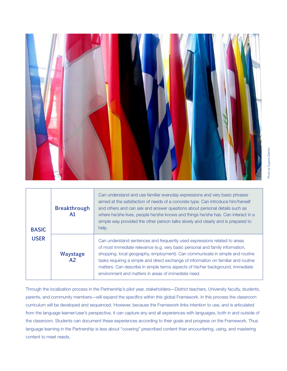

| <b>BASIC</b><br><b>USER</b> | <b>Breakthrough</b><br>A1         | Can understand and use familiar everyday expressions and very basic phrases<br>aimed at the satisfaction of needs of a concrete type. Can introduce him/herself<br>and others and can ask and answer questions about personal details such as<br>where he/she lives, people he/she knows and things he/she has. Can interact in a<br>simple way provided the other person talks slowly and clearly and is prepared to<br>help.                                              |
|-----------------------------|-----------------------------------|-----------------------------------------------------------------------------------------------------------------------------------------------------------------------------------------------------------------------------------------------------------------------------------------------------------------------------------------------------------------------------------------------------------------------------------------------------------------------------|
|                             | <b>Waystage</b><br>A <sub>2</sub> | Can understand sentences and frequently used expressions related to areas<br>of most immediate relevance (e.g. very basic personal and family information,<br>shopping, local geography, employment). Can communicate in simple and routine<br>tasks requiring a simple and direct exchange of information on familiar and routine<br>matters. Can describe in simple terms aspects of his/her background, immediate<br>environment and matters in areas of immediate need. |

Through the localization process in the Partnership's pilot year, stakeholders—District teachers, University faculty, students, parents, and community members—will expand the specifics within this global Framework. In this process the classroom curriculum will be developed and sequenced. However, because the Framework links intention to use, and is articulated from the language learner/user's perspective, it can capture any and all experiences with languages, both in and outside of the classroom. Students can document these experiences according to their goals and progress on the Framework. Thus language learning in the Partnership is less about "covering" prescribed content than encountering, using, and mastering content to meet needs.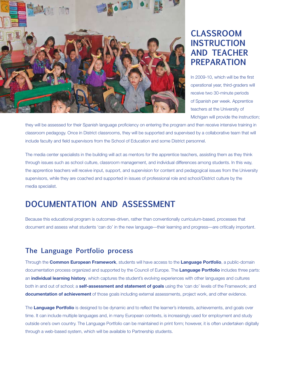

## **CLASSROOM INSTRUCTION AND TEACHER PREPARATION**

In 2009-10, which will be the first operational year, third-graders will receive two 30-minute periods of Spanish per week. Apprentice teachers at the University of Michigan will provide the instruction;

they will be assessed for their Spanish language proficiency on entering the program and then receive intensive training in classroom pedagogy. Once in District classrooms, they will be supported and supervised by a collaborative team that will include faculty and field supervisors from the School of Education and some District personnel.

The media center specialists in the building will act as mentors for the apprentice teachers, assisting them as they think through issues such as school culture, classroom management, and individual differences among students. In this way, the apprentice teachers will receive input, support, and supervision for content and pedagogical issues from the University supervisors, while they are coached and supported in issues of professional role and school/District culture by the media specialist.

## **DOCUMENTATION AND ASSESSMENT**

Because this educational program is outcomes-driven, rather than conventionally curriculum-based, processes that document and assess what students 'can do' in the new language—their learning and progress—are critically important.

#### **The Language Portfolio process**

Through the **Common European Framework**, students will have access to the **Language Portfolio**, a public-domain documentation process organized and supported by the Council of Europe. The **Language Portfolio** includes three parts: an **individual learning history**, which captures the student's evolving experiences with other languages and cultures both in and out of school; a **self-assessment and statement of goals** using the 'can do' levels of the Framework; and **documentation of achievement** of those goals including external assessments, project work, and other evidence.

The **Language Portfolio** is designed to be dynamic and to reflect the learner's interests, achievements, and goals over time. It can include multiple languages and, in many European contexts, is increasingly used for employment and study outside one's own country. The Language Portfolio can be maintained in print form; however, it is often undertaken digitally through a web-based system, which will be available to Partnership students.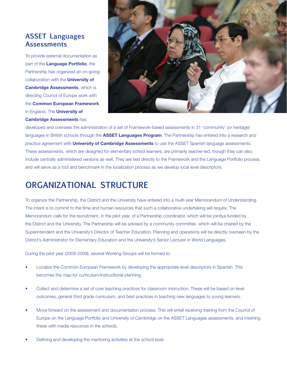#### **ASSET Languages Assessments**

To provide external documentation as part of the **Language Portfolio**, the Partnership has organized an on-going collaboration with the **University of Cambridge Assessments**, which is directing Council of Europe work with the **Common European Framework** in England. The **University of Cambridge Assessments** has



developed and oversees the administration of a set of Framework-based assessments in 31 'community' (or heritage) languages in British schools through the **ASSET Languages Program**. The Partnership has entered into a research and practice agreement with **University of Cambridge Assessments** to use the ASSET Spanish language assessments. These assessments, which are designed for elementary school learners, are primarily teacher-led, though they can also include centrally administered versions as well. They are tied directly to the Framework and the Language Portfolio process, and will serve as a tool and benchmark in the localization process as we develop local level descriptors.

## **ORGANIZATIONAL STRUCTURE**

To organize the Partnership, the District and the University have entered into a multi-year Memorandum of Understanding. The intent is to commit to the time and human resources that such a collaborative undertaking will require. The Memorandum calls for the recruitment, in the pilot year, of a Partnership coordinator, which will be jointlya funded by the District and the University. The Partnership will be advised by a community committee, which will be chaired by the Superintendent and the University's Director of Teacher Education. Planning and operations will be directly overseen by the District's Administrator for Elementary Education and the University's Senior Lecturer in World Languages.

During the pilot year (2008-2009), several Working Groups will be formed to:

- Localize the Common European Framework by developing the appropriate level descriptors in Spanish. This becomes the map for curriculum/instructional planning.
- Collect and determine a set of core teaching practices for classroom instruction. These will be based on level outcomes, general third grade curriculum, and best practices in teaching new languages to young learners.
- Move forward on the assessment and documentation process. This will entail receiving training from the Council of Europe on the Language Portfolio and University of Cambridge on the ASSET Languages assessments, and meshing these with media resources in the schools.
- Defining and developing the mentoring activities at the school level.